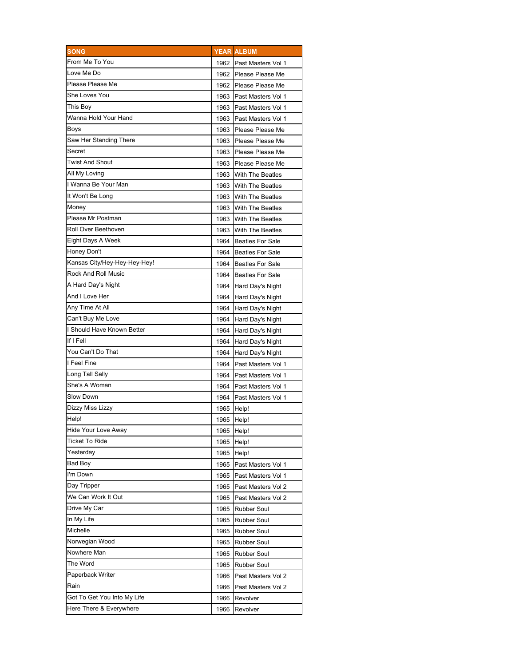| <b>SONG</b>                  |            | <b>YEAR ALBUM</b>       |
|------------------------------|------------|-------------------------|
| From Me To You               |            | 1962 Past Masters Vol 1 |
| Love Me Do                   |            | 1962 Please Please Me   |
| Please Please Me             |            | 1962 Please Please Me   |
| She Loves You                |            | 1963 Past Masters Vol 1 |
| This Boy                     |            | 1963 Past Masters Vol 1 |
| Wanna Hold Your Hand         |            | 1963 Past Masters Vol 1 |
| Boys                         | 1963       | Please Please Me        |
| Saw Her Standing There       | 1963       | Please Please Me        |
| Secret                       | 1963       | Please Please Me        |
| Twist And Shout              |            | 1963 Please Please Me   |
| All My Loving                | 1963       | <b>With The Beatles</b> |
| I Wanna Be Your Man          | 1963       | <b>With The Beatles</b> |
| It Won't Be Long             | 1963       | <b>With The Beatles</b> |
| Money                        | 1963       | <b>With The Beatles</b> |
| Please Mr Postman            |            | 1963 With The Beatles   |
| Roll Over Beethoven          | 1963       | <b>With The Beatles</b> |
| Eight Days A Week            | 1964       | <b>Beatles For Sale</b> |
| Honey Don't                  |            | 1964 Beatles For Sale   |
| Kansas City/Hey-Hey-Hey-Hey! |            | 1964 Beatles For Sale   |
| Rock And Roll Music          |            | 1964 Beatles For Sale   |
| A Hard Day's Night           |            | 1964 Hard Day's Night   |
| And I Love Her               |            | 1964 Hard Day's Night   |
| Any Time At All              |            | 1964 Hard Day's Night   |
| Can't Buy Me Love            |            | 1964 Hard Day's Night   |
| I Should Have Known Better   |            | 1964 Hard Day's Night   |
| If I Fell                    | 1964       | Hard Day's Night        |
| You Can't Do That            |            | 1964 Hard Day's Night   |
| I Feel Fine                  | 1964       | Past Masters Vol 1      |
| Long Tall Sally              |            | 1964 Past Masters Vol 1 |
| She's A Woman                |            | 1964 Past Masters Vol 1 |
| Slow Down                    |            | Past Masters Vol 1      |
| Dizzy Miss Lizzy             | 1964       |                         |
| Help!                        | 1965 Help! |                         |
| Hide Your Love Away          | 1965 Help! |                         |
| Ticket To Ride               | 1965 Help! |                         |
| Yesterday                    | 1965       | Help!                   |
|                              | 1965       | Help!                   |
| Bad Boy                      | 1965       | Past Masters Vol 1      |
| I'm Down                     | 1965       | Past Masters Vol 1      |
| Day Tripper                  | 1965       | Past Masters Vol 2      |
| We Can Work It Out           | 1965       | Past Masters Vol 2      |
| Drive My Car                 | 1965       | <b>Rubber Soul</b>      |
| In My Life                   | 1965       | <b>Rubber Soul</b>      |
| Michelle                     | 1965       | <b>Rubber Soul</b>      |
| Norwegian Wood               | 1965       | <b>Rubber Soul</b>      |
| Nowhere Man                  | 1965       | <b>Rubber Soul</b>      |
| The Word                     | 1965       | <b>Rubber Soul</b>      |
| Paperback Writer             | 1966       | Past Masters Vol 2      |
| Rain                         | 1966       | Past Masters Vol 2      |
| Got To Get You Into My Life  | 1966       | Revolver                |
| Here There & Everywhere      | 1966       | Revolver                |